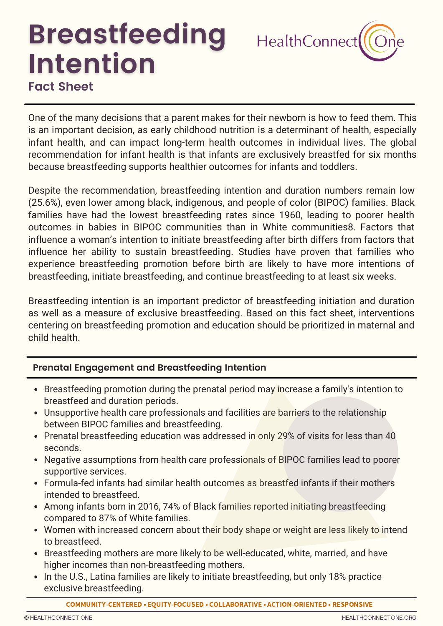# **Breastfeeding Intention Fact Sheet**



One of the many decisions that a parent makes for their newborn is how to feed them. This is an important decision, as early childhood nutrition is a determinant of health, especially infant health, and can impact long-term health outcomes in individual lives. The global recommendation for infant health is that infants are exclusively breastfed for six months because breastfeeding supports healthier outcomes for infants and toddlers.

Despite the recommendation, breastfeeding intention and duration numbers remain low (25.6%), even lower among black, indigenous, and people of color (BIPOC) families. Black families have had the lowest breastfeeding rates since 1960, leading to poorer health outcomes in babies in BIPOC communities than in White communities8. Factors that influence a woman's intention to initiate breastfeeding after birth differs from factors that influence her ability to sustain breastfeeding. Studies have proven that families who experience breastfeeding promotion before birth are likely to have more intentions of breastfeeding, initiate breastfeeding, and continue breastfeeding to at least six weeks.

Breastfeeding intention is an important predictor of breastfeeding initiation and duration as well as a measure of exclusive breastfeeding. Based on this fact sheet, interventions centering on breastfeeding promotion and education should be prioritized in maternal and child health.

## **Prenatal Engagement and Breastfeeding Intention**

- Breastfeeding promotion during the prenatal period may increase a family's intention to breastfeed and duration periods.
- Unsupportive health care professionals and facilities are barriers to the relationship between BIPOC families and breastfeeding.
- Prenatal breastfeeding education was addressed in only 29% of visits for less than 40 seconds.
- Negative assumptions from health care professionals of BIPOC families lead to poorer supportive services.
- Formula-fed infants had similar health outcomes as breastfed infants if their mothers intended to breastfeed.
- Among infants born in 2016, 74% of Black families reported initiating breastfeeding compared to 87% of White families.
- Women with increased concern about their body shape or weight are less likely to intend to breastfeed.
- Breastfeeding mothers are more likely to be well-educated, white, married, and have higher incomes than non-breastfeeding mothers.
- In the U.S., Latina families are likely to initiate breastfeeding, but only 18% practice exclusive breastfeeding.